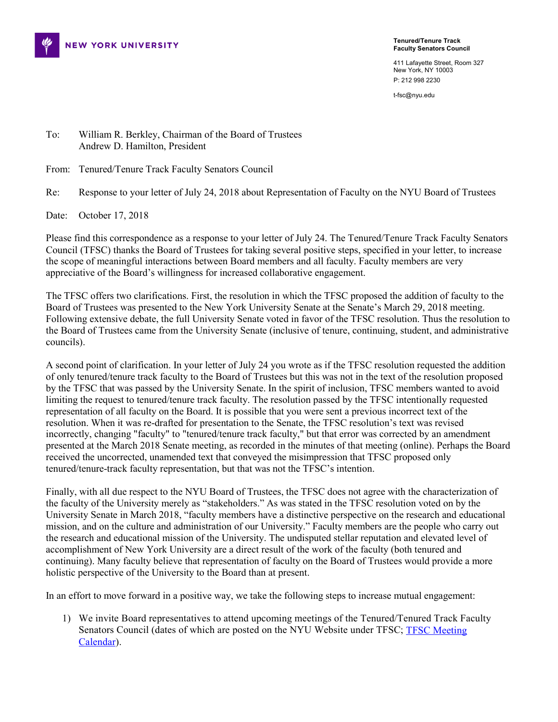

**Tenured/Tenure Track Faculty Senators Council**

411 Lafayette Street, Room 327 New York, NY 10003 P: 212 998 2230

t-fsc@nyu.edu

To: William R. Berkley, Chairman of the Board of Trustees Andrew D. Hamilton, President

From: Tenured/Tenure Track Faculty Senators Council

Re: Response to your letter of July 24, 2018 about Representation of Faculty on the NYU Board of Trustees

Date: October 17, 2018

Please find this correspondence as a response to your letter of July 24. The Tenured/Tenure Track Faculty Senators Council (TFSC) thanks the Board of Trustees for taking several positive steps, specified in your letter, to increase the scope of meaningful interactions between Board members and all faculty. Faculty members are very appreciative of the Board's willingness for increased collaborative engagement.

The TFSC offers two clarifications. First, the resolution in which the TFSC proposed the addition of faculty to the Board of Trustees was presented to the New York University Senate at the Senate's March 29, 2018 meeting. Following extensive debate, the full University Senate voted in favor of the TFSC resolution. Thus the resolution to the Board of Trustees came from the University Senate (inclusive of tenure, continuing, student, and administrative councils).

A second point of clarification. In your letter of July 24 you wrote as if the TFSC resolution requested the addition of only tenured/tenure track faculty to the Board of Trustees but this was not in the text of the resolution proposed by the TFSC that was passed by the University Senate. In the spirit of inclusion, TFSC members wanted to avoid limiting the request to tenured/tenure track faculty. The resolution passed by the TFSC intentionally requested representation of all faculty on the Board. It is possible that you were sent a previous incorrect text of the resolution. When it was re-drafted for presentation to the Senate, the TFSC resolution's text was revised incorrectly, changing "faculty" to "tenured/tenure track faculty," but that error was corrected by an amendment presented at the March 2018 Senate meeting, as recorded in the minutes of that meeting (online). Perhaps the Board received the uncorrected, unamended text that conveyed the misimpression that TFSC proposed only tenured/tenure-track faculty representation, but that was not the TFSC's intention.

Finally, with all due respect to the NYU Board of Trustees, the TFSC does not agree with the characterization of the faculty of the University merely as "stakeholders." As was stated in the TFSC resolution voted on by the University Senate in March 2018, "faculty members have a distinctive perspective on the research and educational mission, and on the culture and administration of our University." Faculty members are the people who carry out the research and educational mission of the University. The undisputed stellar reputation and elevated level of accomplishment of New York University are a direct result of the work of the faculty (both tenured and continuing). Many faculty believe that representation of faculty on the Board of Trustees would provide a more holistic perspective of the University to the Board than at present.

In an effort to move forward in a positive way, we take the following steps to increase mutual engagement:

1) We invite Board representatives to attend upcoming meetings of the Tenured/Tenured Track Faculty Senators Council (dates of which are posted on the NYU Website under TFSC; [TFSC Meeting](https://www.nyu.edu/about/leadership-university-administration/university-senate/membership/councils/tenured-tenure-track-faculty-senators-council/council-records/meetings.html)  [Calendar\)](https://www.nyu.edu/about/leadership-university-administration/university-senate/membership/councils/tenured-tenure-track-faculty-senators-council/council-records/meetings.html).